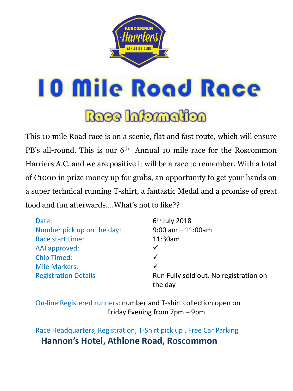

**10 Mile Road Race** 

Roce Information

This 10 mile Road race is on a scenic, flat and fast route, which will ensure PB's all-round. This is our 6<sup>th</sup> Annual 10 mile race for the Roscommon Harriers A.C. and we are positive it will be a race to remember. With a total of €1000 in prize money up for grabs, an opportunity to get your hands on a super technical running T-shirt, a fantastic Medal and a promise of great food and fun afterwards….What's not to like??

| Date:                       | $6th$ July 2018                                   |
|-----------------------------|---------------------------------------------------|
| Number pick up on the day:  | $9:00$ am $-11:00$ am                             |
| Race start time:            | 11:30am                                           |
| AAI approved:               | ✓                                                 |
| <b>Chip Timed:</b>          | $\checkmark$                                      |
| <b>Mile Markers:</b>        | $\checkmark$                                      |
| <b>Registration Details</b> | Run Fully sold out. No registration on<br>the day |

On-line Registered runners: number and T-shirt collection open on Friday Evening from 7pm – 9pm

Race Headquarters, Registration, T-Shirt pick up , Free Car Parking - **Hannon's Hotel, Athlone Road, Roscommon**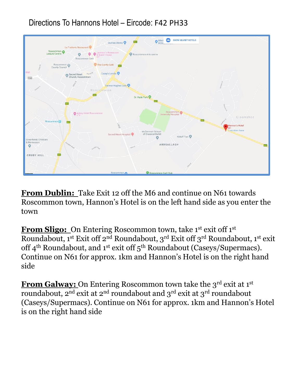### Directions To Hannons Hotel – Eircode: F42 PH33



**From Dublin:** Take Exit 12 off the M6 and continue on N61 towards Roscommon town, Hannon's Hotel is on the left hand side as you enter the town

**From Sligo:** On Entering Roscommon town, take 1<sup>st</sup> exit off 1<sup>st</sup> Roundabout, 1<sup>st</sup> Exit off 2<sup>nd</sup> Roundabout, 3<sup>rd</sup> Exit off 3<sup>rd</sup> Roundabout, 1<sup>st</sup> exit off 4<sup>th</sup> Roundabout, and 1<sup>st</sup> exit off 5<sup>th</sup> Roundabout (Caseys/Supermacs). Continue on N61 for approx. 1km and Hannon's Hotel is on the right hand side

**From Galway:** On Entering Roscommon town take the 3<sup>rd</sup> exit at 1<sup>st</sup> roundabout,  $2^{nd}$  exit at  $2^{nd}$  roundabout and  $3^{rd}$  exit at  $3^{rd}$  roundabout (Caseys/Supermacs). Continue on N61 for approx. 1km and Hannon's Hotel is on the right hand side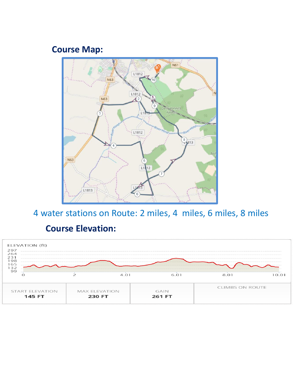## **Course Map:**



4 water stations on Route: 2 miles, 4 miles, 6 miles, 8 miles

### **Course Elevation:**